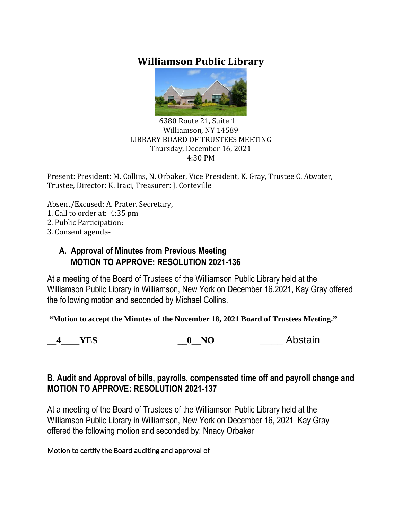# **Williamson Public Library**



#### 6380 Route 21, Suite 1 Williamson, NY 14589 LIBRARY BOARD OF TRUSTEES MEETING Thursday, December 16, 2021 4:30 PM

Present: President: M. Collins, N. Orbaker, Vice President, K. Gray, Trustee C. Atwater, Trustee, Director: K. Iraci, Treasurer: J. Corteville

Absent/Excused: A. Prater, Secretary,

- 1. Call to order at: 4:35 pm
- 2. Public Participation:
- 3. Consent agenda-

## **A. Approval of Minutes from Previous Meeting MOTION TO APPROVE: RESOLUTION 2021-136**

At a meeting of the Board of Trustees of the Williamson Public Library held at the Williamson Public Library in Williamson, New York on December 16.2021, Kay Gray offered the following motion and seconded by Michael Collins.

**"Motion to accept the Minutes of the November 18, 2021 Board of Trustees Meeting."**

**4** YES **0** NO Abstain

## **B. Audit and Approval of bills, payrolls, compensated time off and payroll change and MOTION TO APPROVE: RESOLUTION 2021-137**

At a meeting of the Board of Trustees of the Williamson Public Library held at the Williamson Public Library in Williamson, New York on December 16, 2021 Kay Gray offered the following motion and seconded by: Nnacy Orbaker

## Motion to certify the Board auditing and approval of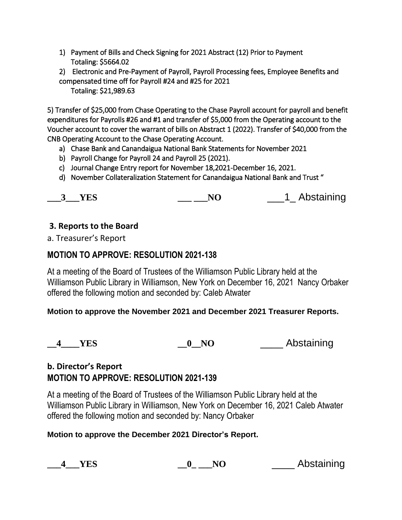- 1) Payment of Bills and Check Signing for 2021 Abstract (12) Prior to Payment Totaling: \$5664.02
- 2) Electronic and Pre-Payment of Payroll, Payroll Processing fees, Employee Benefits and compensated time off for Payroll #24 and #25 for 2021

Totaling: \$21,989.63

5) Transfer of \$25,000 from Chase Operating to the Chase Payroll account for payroll and benefit expenditures for Payrolls #26 and #1 and transfer of \$5,000 from the Operating account to the Voucher account to cover the warrant of bills on Abstract 1 (2022). Transfer of \$40,000 from the CNB Operating Account to the Chase Operating Account.

- a) Chase Bank and Canandaigua National Bank Statements for November 2021
- b) Payroll Change for Payroll 24 and Payroll 25 (2021).
- c) Journal Change Entry report for November 18,2021-December 16, 2021.
- d) November Collateralization Statement for Canandaigua National Bank and Trust "

|  | <b>YES</b> | N |  | 1 Abstaining |
|--|------------|---|--|--------------|
|--|------------|---|--|--------------|

## **3. Reports to the Board**

a. Treasurer's Report

## **MOTION TO APPROVE: RESOLUTION 2021-138**

At a meeting of the Board of Trustees of the Williamson Public Library held at the Williamson Public Library in Williamson, New York on December 16, 2021 Nancy Orbaker offered the following motion and seconded by: Caleb Atwater

## **Motion to approve the November 2021 and December 2021 Treasurer Reports.**

**\_\_4\_\_\_\_YES \_\_0\_\_NO** \_\_\_\_ Abstaining

## **b. Director's Report MOTION TO APPROVE: RESOLUTION 2021-139**

At a meeting of the Board of Trustees of the Williamson Public Library held at the Williamson Public Library in Williamson, New York on December 16, 2021 Caleb Atwater offered the following motion and seconded by: Nancy Orbaker

## **Motion to approve the December 2021 Director's Report.**

| <b>YES</b> |  | Abstaining |
|------------|--|------------|
|------------|--|------------|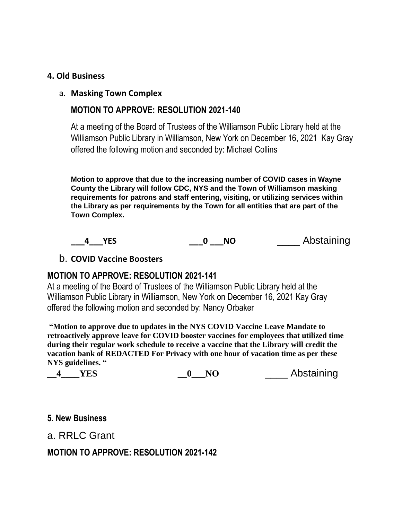### **4. Old Business**

#### a. **Masking Town Complex**

## **MOTION TO APPROVE: RESOLUTION 2021-140**

At a meeting of the Board of Trustees of the Williamson Public Library held at the Williamson Public Library in Williamson, New York on December 16, 2021 Kay Gray offered the following motion and seconded by: Michael Collins

**Motion to approve that due to the increasing number of COVID cases in Wayne County the Library will follow CDC, NYS and the Town of Williamson masking requirements for patrons and staff entering, visiting, or utilizing services within the Library as per requirements by the Town for all entities that are part of the Town Complex.**



#### b. **COVID Vaccine Boosters**

## **MOTION TO APPROVE: RESOLUTION 2021-141**

At a meeting of the Board of Trustees of the Williamson Public Library held at the Williamson Public Library in Williamson, New York on December 16, 2021 Kay Gray offered the following motion and seconded by: Nancy Orbaker

**"Motion to approve due to updates in the NYS COVID Vaccine Leave Mandate to retroactively approve leave for COVID booster vaccines for employees that utilized time during their regular work schedule to receive a vaccine that the Library will credit the vacation bank of REDACTED For Privacy with one hour of vacation time as per these NYS guidelines. "**

| NC<br>Y F.N | Abstaining |
|-------------|------------|
|-------------|------------|

#### **5. New Business**

## a. RRLC Grant

## **MOTION TO APPROVE: RESOLUTION 2021-142**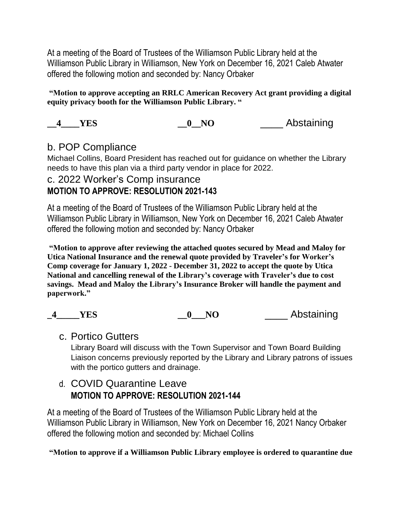At a meeting of the Board of Trustees of the Williamson Public Library held at the Williamson Public Library in Williamson, New York on December 16, 2021 Caleb Atwater offered the following motion and seconded by: Nancy Orbaker

**"Motion to approve accepting an RRLC American Recovery Act grant providing a digital equity privacy booth for the Williamson Public Library. "**

**4** YES **0** NO **Abstaining** 

## b. POP Compliance

Michael Collins, Board President has reached out for guidance on whether the Library needs to have this plan via a third party vendor in place for 2022.

## c. 2022 Worker's Comp insurance **MOTION TO APPROVE: RESOLUTION 2021-143**

At a meeting of the Board of Trustees of the Williamson Public Library held at the Williamson Public Library in Williamson, New York on December 16, 2021 Caleb Atwater offered the following motion and seconded by: Nancy Orbaker

**"Motion to approve after reviewing the attached quotes secured by Mead and Maloy for Utica National Insurance and the renewal quote provided by Traveler's for Worker's Comp coverage for January 1, 2022 - December 31, 2022 to accept the quote by Utica National and cancelling renewal of the Library's coverage with Traveler's due to cost savings. Mead and Maloy the Library's Insurance Broker will handle the payment and paperwork."**

| <b>YES</b> | Abstaining |
|------------|------------|
|            |            |

## c. Portico Gutters

Library Board will discuss with the Town Supervisor and Town Board Building Liaison concerns previously reported by the Library and Library patrons of issues with the portico gutters and drainage.

## d. COVID Quarantine Leave **MOTION TO APPROVE: RESOLUTION 2021-144**

At a meeting of the Board of Trustees of the Williamson Public Library held at the Williamson Public Library in Williamson, New York on December 16, 2021 Nancy Orbaker offered the following motion and seconded by: Michael Collins

**"Motion to approve if a Williamson Public Library employee is ordered to quarantine due**